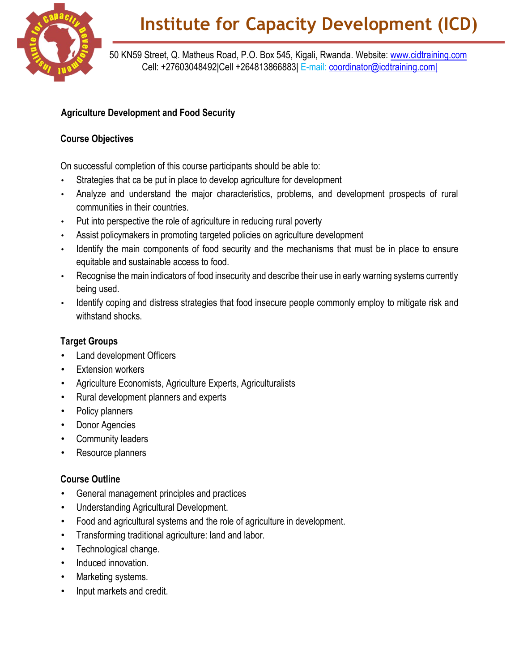

50 KN59 Street, Q. Matheus Road, P.O. Box 545, Kigali, Rwanda. Website: [www.cidtraining.com](http://www.cidtraining.com/) Cell: +27603048492|Cell +264813866883| E-mail: [coordinator@icdtraining.com|](mailto:coordinator@icdtraining.com%7C)

## **Agriculture Development and Food Security**

## **Course Objectives**

On successful completion of this course participants should be able to:

- Strategies that ca be put in place to develop agriculture for development
- Analyze and understand the major characteristics, problems, and development prospects of rural communities in their countries.
- Put into perspective the role of agriculture in reducing rural poverty
- Assist policymakers in promoting targeted policies on agriculture development
- Identify the main components of food security and the mechanisms that must be in place to ensure equitable and sustainable access to food.
- Recognise the main indicators of food insecurity and describe their use in early warning systems currently being used.
- Identify coping and distress strategies that food insecure people commonly employ to mitigate risk and withstand shocks.

## **Target Groups**

- Land development Officers
- **Extension workers**
- Agriculture Economists, Agriculture Experts, Agriculturalists
- Rural development planners and experts
- Policy planners
- Donor Agencies
- Community leaders
- Resource planners

## **Course Outline**

- General management principles and practices
- Understanding Agricultural Development.
- Food and agricultural systems and the role of agriculture in development.
- Transforming traditional agriculture: land and labor.
- Technological change.
- Induced innovation.
- Marketing systems.
- Input markets and credit.